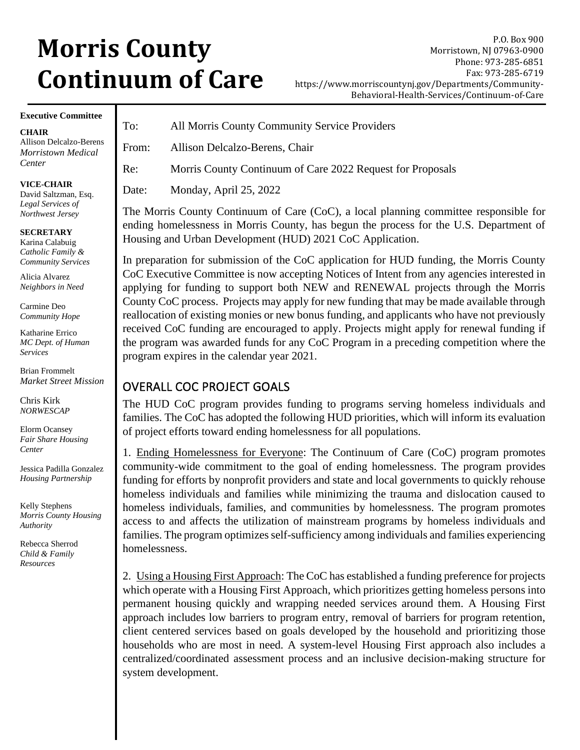# **Morris County Continuum of Care**

P.O. Box 900 Morristown, NJ 07963-0900 Phone: 973-285-6851 Fax: 973-285-6719 https://www.morriscountynj.gov/Departments/Community-Behavioral-Health-Services/Continuum-of-Care

#### **Executive Committee**

Allison Delcalzo-Berens *Morristown Medical* 

## To: All Morris County Community Service Providers From: Allison Delcalzo-Berens, Chair Re: Morris County Continuum of Care 2022 Request for Proposals Date: Monday, April 25, 2022

The Morris County Continuum of Care (CoC), a local planning committee responsible for ending homelessness in Morris County, has begun the process for the U.S. Department of Housing and Urban Development (HUD) 2021 CoC Application.

In preparation for submission of the CoC application for HUD funding, the Morris County CoC Executive Committee is now accepting Notices of Intent from any agencies interested in applying for funding to support both NEW and RENEWAL projects through the Morris County CoC process. Projects may apply for new funding that may be made available through reallocation of existing monies or new bonus funding, and applicants who have not previously received CoC funding are encouraged to apply. Projects might apply for renewal funding if the program was awarded funds for any CoC Program in a preceding competition where the program expires in the calendar year 2021.

### OVERALL COC PROJECT GOALS

The HUD CoC program provides funding to programs serving homeless individuals and families. The CoC has adopted the following HUD priorities, which will inform its evaluation of project efforts toward ending homelessness for all populations.

1. Ending Homelessness for Everyone: The Continuum of Care (CoC) program promotes community-wide commitment to the goal of ending homelessness. The program provides funding for efforts by nonprofit providers and state and local governments to quickly rehouse homeless individuals and families while minimizing the trauma and dislocation caused to homeless individuals, families, and communities by homelessness. The program promotes access to and affects the utilization of mainstream programs by homeless individuals and families. The program optimizes self-sufficiency among individuals and families experiencing homelessness.

2. Using a Housing First Approach: The CoC has established a funding preference for projects which operate with a Housing First Approach, which prioritizes getting homeless persons into permanent housing quickly and wrapping needed services around them. A Housing First approach includes low barriers to program entry, removal of barriers for program retention, client centered services based on goals developed by the household and prioritizing those households who are most in need. A system-level Housing First approach also includes a centralized/coordinated assessment process and an inclusive decision-making structure for system development.

**VICE-CHAIR**  David Saltzman, Esq.

*Legal Services of Northwest Jersey* 

#### **SECRETARY**

**CHAIR**

*Center* 

Karina Calabuig *Catholic Family & Community Services* 

Alicia Alvarez *Neighbors in Need* 

Carmine Deo *Community Hope*

Katharine Errico *MC Dept. of Human Services* 

Brian Frommelt *Market Street Mission*

Chris Kirk *NORWESCAP* 

Elorm Ocansey *Fair Share Housing Center* 

Jessica Padilla Gonzalez *Housing Partnership* 

Kelly Stephens *Morris County Housing Authority*

Rebecca Sherrod *Child & Family Resources*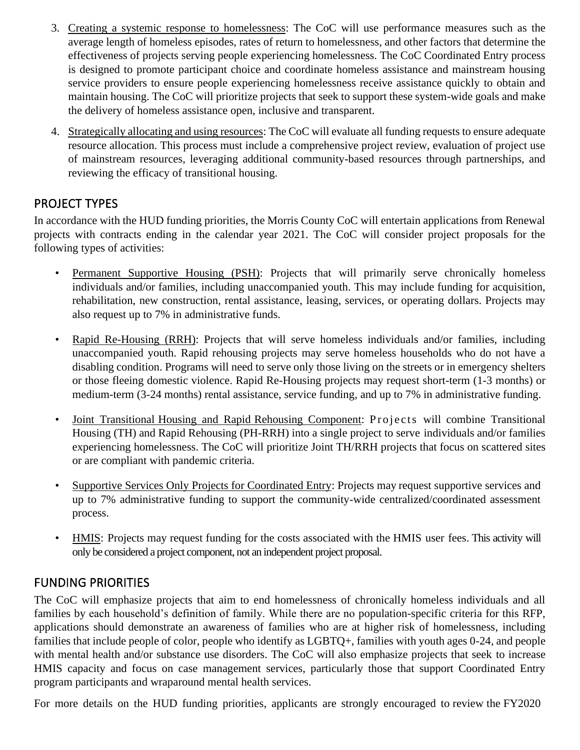- 3. Creating a systemic response to homelessness: The CoC will use performance measures such as the average length of homeless episodes, rates of return to homelessness, and other factors that determine the effectiveness of projects serving people experiencing homelessness. The CoC Coordinated Entry process is designed to promote participant choice and coordinate homeless assistance and mainstream housing service providers to ensure people experiencing homelessness receive assistance quickly to obtain and maintain housing. The CoC will prioritize projects that seek to support these system-wide goals and make the delivery of homeless assistance open, inclusive and transparent.
- 4. Strategically allocating and using resources: The CoC will evaluate all funding requests to ensure adequate resource allocation. This process must include a comprehensive project review, evaluation of project use of mainstream resources, leveraging additional community-based resources through partnerships, and reviewing the efficacy of transitional housing.

#### PROJECT TYPES

In accordance with the HUD funding priorities, the Morris County CoC will entertain applications from Renewal projects with contracts ending in the calendar year 2021. The CoC will consider project proposals for the following types of activities:

- Permanent Supportive Housing (PSH): Projects that will primarily serve chronically homeless individuals and/or families, including unaccompanied youth. This may include funding for acquisition, rehabilitation, new construction, rental assistance, leasing, services, or operating dollars. Projects may also request up to 7% in administrative funds.
- Rapid Re-Housing (RRH): Projects that will serve homeless individuals and/or families, including unaccompanied youth. Rapid rehousing projects may serve homeless households who do not have a disabling condition. Programs will need to serve only those living on the streets or in emergency shelters or those fleeing domestic violence. Rapid Re-Housing projects may request short-term (1-3 months) or medium-term (3-24 months) rental assistance, service funding, and up to 7% in administrative funding.
- Joint Transitional Housing and Rapid Rehousing Component: Projects will combine Transitional Housing (TH) and Rapid Rehousing (PH-RRH) into a single project to serve individuals and/or families experiencing homelessness. The CoC will prioritize Joint TH/RRH projects that focus on scattered sites or are compliant with pandemic criteria.
- Supportive Services Only Projects for Coordinated Entry: Projects may request supportive services and up to 7% administrative funding to support the community-wide centralized/coordinated assessment process.
- HMIS: Projects may request funding for the costs associated with the HMIS user fees. This activity will only be considered a project component, not an independent project proposal.

### FUNDING PRIORITIES

The CoC will emphasize projects that aim to end homelessness of chronically homeless individuals and all families by each household's definition of family. While there are no population-specific criteria for this RFP, applications should demonstrate an awareness of families who are at higher risk of homelessness, including families that include people of color, people who identify as LGBTQ+, families with youth ages 0-24, and people with mental health and/or substance use disorders. The CoC will also emphasize projects that seek to increase HMIS capacity and focus on case management services, particularly those that support Coordinated Entry program participants and wraparound mental health services.

For more details on the HUD funding priorities, applicants are strongly encouraged to review the FY2020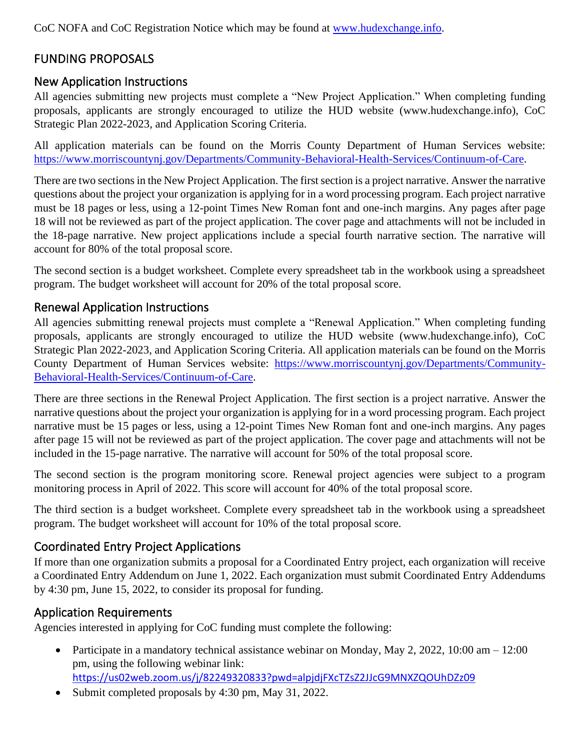CoC NOFA and CoC Registration Notice which may be found at [www.hudexchange.info.](http://www.hudexchange.info/)

## FUNDING PROPOSALS

#### New Application Instructions

All agencies submitting new projects must complete a "New Project Application." When completing funding proposals, applicants are strongly encouraged to utilize the HUD website (www.hudexchange.info), CoC Strategic Plan 2022-2023, and Application Scoring Criteria.

All application materials can be found on the Morris County Department of Human Services website: [https://www.morriscountynj.gov/Departments/Community-Behavioral-Health-Services/Continuum-of-Care.](https://www.morriscountynj.gov/Departments/Community-Behavioral-Health-Services/Continuum-of-Care)

There are two sections in the New Project Application. The first section is a project narrative. Answer the narrative questions about the project your organization is applying for in a word processing program. Each project narrative must be 18 pages or less, using a 12-point Times New Roman font and one-inch margins. Any pages after page 18 will not be reviewed as part of the project application. The cover page and attachments will not be included in the 18-page narrative. New project applications include a special fourth narrative section. The narrative will account for 80% of the total proposal score.

The second section is a budget worksheet. Complete every spreadsheet tab in the workbook using a spreadsheet program. The budget worksheet will account for 20% of the total proposal score.

#### Renewal Application Instructions

All agencies submitting renewal projects must complete a "Renewal Application." When completing funding proposals, applicants are strongly encouraged to utilize the HUD website (www.hudexchange.info), CoC Strategic Plan 2022-2023, and Application Scoring Criteria. All application materials can be found on the Morris County Department of Human Services website: [https://www.morriscountynj.gov/Departments/Community-](https://www.morriscountynj.gov/Departments/Community-Behavioral-Health-Services/Continuum-of-Care)[Behavioral-Health-Services/Continuum-of-Care.](https://www.morriscountynj.gov/Departments/Community-Behavioral-Health-Services/Continuum-of-Care)

There are three sections in the Renewal Project Application. The first section is a project narrative. Answer the narrative questions about the project your organization is applying for in a word processing program. Each project narrative must be 15 pages or less, using a 12-point Times New Roman font and one-inch margins. Any pages after page 15 will not be reviewed as part of the project application. The cover page and attachments will not be included in the 15-page narrative. The narrative will account for 50% of the total proposal score.

The second section is the program monitoring score. Renewal project agencies were subject to a program monitoring process in April of 2022. This score will account for 40% of the total proposal score.

The third section is a budget worksheet. Complete every spreadsheet tab in the workbook using a spreadsheet program. The budget worksheet will account for 10% of the total proposal score.

#### Coordinated Entry Project Applications

If more than one organization submits a proposal for a Coordinated Entry project, each organization will receive a Coordinated Entry Addendum on June 1, 2022. Each organization must submit Coordinated Entry Addendums by 4:30 pm, June 15, 2022, to consider its proposal for funding.

#### Application Requirements

Agencies interested in applying for CoC funding must complete the following:

- Participate in a mandatory technical assistance webinar on Monday, May 2, 2022, 10:00 am 12:00 pm, using the following webinar link: <https://us02web.zoom.us/j/82249320833?pwd=alpjdjFXcTZsZ2JJcG9MNXZQOUhDZz09>
- Submit completed proposals by 4:30 pm, May 31, 2022.